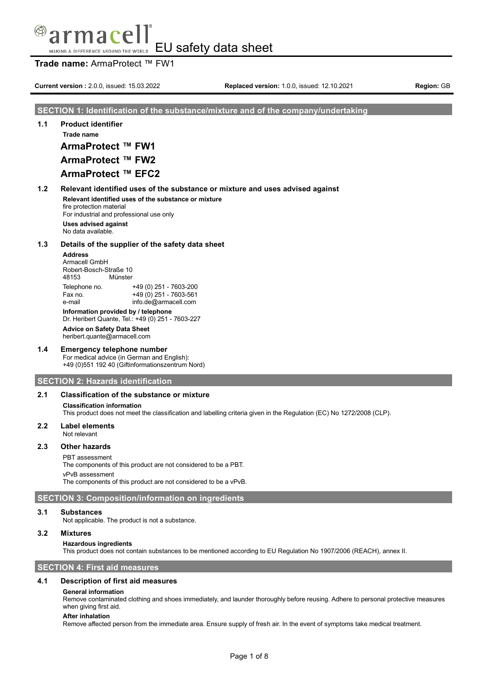## mace EU safety data sheet MAKING A DIFFERENCE AROUND THE WORLD

# **Trade name:** ArmaProtect ™ FW1

**Current version** : 2.0.0, issued: 15.03.2022 **Replaced version:** 1.0.0, issued: 12.10.2021 **Region:** GB

## **SECTION 1: Identification of the substance/mixture and of the company/undertaking**

# **1.1 Product identifier Trade name**

**ArmaProtect ™ FW1**

# **ArmaProtect ™ FW2**

# **ArmaProtect ™ EFC2**

**1.2 Relevant identified uses of the substance or mixture and uses advised against Relevant identified uses of the substance or mixture**

fire protection material For industrial and professional use only

**Uses advised against** No data available.

## **1.3 Details of the supplier of the safety data sheet**

# **Address**

Armacell GmbH Robert-Bosch-Straße 10<br>48153 Münster Münster

Telephone no. +49 (0) 251 - 7603-200 Fax no.  $+49(0)251 - 7603 - 561$ e-mail info.de@armacell.com

**Information provided by / telephone**

Dr. Heribert Quante, Tel.: +49 (0) 251 - 7603-227

**Advice on Safety Data Sheet** heribert.quante@armacell.com

## **1.4 Emergency telephone number**

For medical advice (in German and English): +49 (0)551 192 40 (Giftinformationszentrum Nord)

## **SECTION 2: Hazards identification**

# **2.1 Classification of the substance or mixture**

## **Classification information**

This product does not meet the classification and labelling criteria given in the Regulation (EC) No 1272/2008 (CLP).

## **2.2 Label elements**

Not relevant

# **2.3 Other hazards**

### PBT assessment

The components of this product are not considered to be a PBT. vPvB assessment

The components of this product are not considered to be a vPvB.

# **SECTION 3: Composition/information on ingredients**

## **3.1 Substances**

Not applicable. The product is not a substance.

# **3.2 Mixtures**

### **Hazardous ingredients**

This product does not contain substances to be mentioned according to EU Regulation No 1907/2006 (REACH), annex II.

# **SECTION 4: First aid measures**

# **4.1 Description of first aid measures**

# **General information**

Remove contaminated clothing and shoes immediately, and launder thoroughly before reusing. Adhere to personal protective measures when giving first aid.

### **After inhalation**

Remove affected person from the immediate area. Ensure supply of fresh air. In the event of symptoms take medical treatment.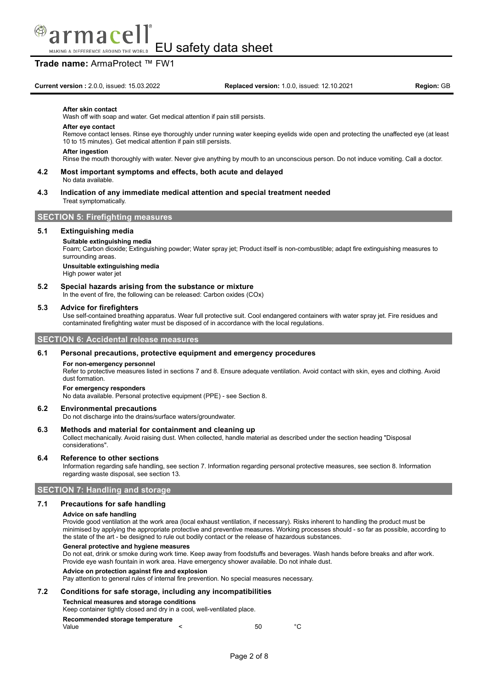

EU safety data sheet MAKING A DIFFERENCE AROUND THE WORLD

# **Trade name:** ArmaProtect ™ FW1

#### **After skin contact**

Wash off with soap and water. Get medical attention if pain still persists.

#### **After eye contact**

Remove contact lenses. Rinse eye thoroughly under running water keeping eyelids wide open and protecting the unaffected eye (at least 10 to 15 minutes). Get medical attention if pain still persists.

#### **After ingestion**

Rinse the mouth thoroughly with water. Never give anything by mouth to an unconscious person. Do not induce vomiting. Call a doctor.

#### **4.2 Most important symptoms and effects, both acute and delayed** No data available.

### **4.3 Indication of any immediate medical attention and special treatment needed** Treat symptomatically.

# **SECTION 5: Firefighting measures**

### **5.1 Extinguishing media**

#### **Suitable extinguishing media**

Foam; Carbon dioxide; Extinguishing powder; Water spray jet; Product itself is non-combustible; adapt fire extinguishing measures to surrounding areas

### **Unsuitable extinguishing media**

High power water jet

## **5.2 Special hazards arising from the substance or mixture**

In the event of fire, the following can be released: Carbon oxides (COx)

#### **5.3 Advice for firefighters**

Use self-contained breathing apparatus. Wear full protective suit. Cool endangered containers with water spray jet. Fire residues and contaminated firefighting water must be disposed of in accordance with the local regulations.

## **SECTION 6: Accidental release measures**

#### **6.1 Personal precautions, protective equipment and emergency procedures**

#### **For non-emergency personnel**

Refer to protective measures listed in sections 7 and 8. Ensure adequate ventilation. Avoid contact with skin, eyes and clothing. Avoid dust formation.

#### **For emergency responders**

No data available. Personal protective equipment (PPE) - see Section 8.

### **6.2 Environmental precautions**

Do not discharge into the drains/surface waters/groundwater.

#### **6.3 Methods and material for containment and cleaning up**

Collect mechanically. Avoid raising dust. When collected, handle material as described under the section heading "Disposal considerations".

#### **6.4 Reference to other sections**

Information regarding safe handling, see section 7. Information regarding personal protective measures, see section 8. Information regarding waste disposal, see section 13.

## **SECTION 7: Handling and storage**

## **7.1 Precautions for safe handling**

#### **Advice on safe handling**

Provide good ventilation at the work area (local exhaust ventilation, if necessary). Risks inherent to handling the product must be minimised by applying the appropriate protective and preventive measures. Working processes should - so far as possible, according to the state of the art - be designed to rule out bodily contact or the release of hazardous substances.

#### **General protective and hygiene measures**

Do not eat, drink or smoke during work time. Keep away from foodstuffs and beverages. Wash hands before breaks and after work. Provide eye wash fountain in work area. Have emergency shower available. Do not inhale dust.

#### **Advice on protection against fire and explosion**

Pay attention to general rules of internal fire prevention. No special measures necessary.

#### **7.2 Conditions for safe storage, including any incompatibilities**

#### **Technical measures and storage conditions**

Keep container tightly closed and dry in a cool, well-ventilated place.

# **Recommended storage temperature**

| Value |  |  | 50 | $^{\circ}$ C |
|-------|--|--|----|--------------|
|       |  |  |    |              |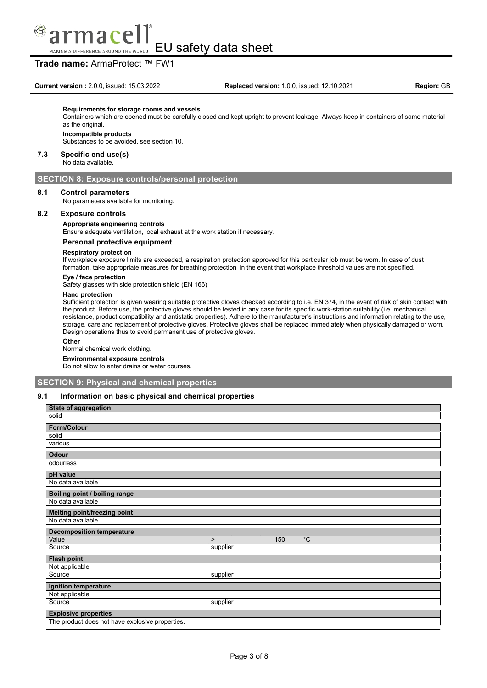

# **Trade name:** ArmaProtect ™ FW1

**Current version :** 2.0.0, issued: 15.03.2022 **Replaced version:** 1.0.0, issued: 12.10.2021 **Region:** GB

#### **Requirements for storage rooms and vessels**

Containers which are opened must be carefully closed and kept upright to prevent leakage. Always keep in containers of same material as the original.

# **Incompatible products**

Substances to be avoided, see section 10.

#### **7.3 Specific end use(s)**

No data available.

## **SECTION 8: Exposure controls/personal protection**

## **8.1 Control parameters**

No parameters available for monitoring.

## **8.2 Exposure controls**

**Appropriate engineering controls**

Ensure adequate ventilation, local exhaust at the work station if necessary.

#### **Personal protective equipment**

#### **Respiratory protection**

If workplace exposure limits are exceeded, a respiration protection approved for this particular job must be worn. In case of dust formation, take appropriate measures for breathing protection in the event that workplace threshold values are not specified.

#### **Eye / face protection**

Safety glasses with side protection shield (EN 166)

#### **Hand protection**

Sufficient protection is given wearing suitable protective gloves checked according to i.e. EN 374, in the event of risk of skin contact with the product. Before use, the protective gloves should be tested in any case for its specific work-station suitability (i.e. mechanical resistance, product compatibility and antistatic properties). Adhere to the manufacturer's instructions and information relating to the use, storage, care and replacement of protective gloves. Protective gloves shall be replaced immediately when physically damaged or worn. Design operations thus to avoid permanent use of protective gloves.

#### **Other**

Normal chemical work clothing.

**Environmental exposure controls**

Do not allow to enter drains or water courses.

## **SECTION 9: Physical and chemical properties**

## **9.1 Information on basic physical and chemical properties**

| <b>State of aggregation</b>                     |                            |
|-------------------------------------------------|----------------------------|
| solid                                           |                            |
| <b>Form/Colour</b>                              |                            |
| solid                                           |                            |
| various                                         |                            |
| Odour                                           |                            |
| odourless                                       |                            |
| pH value                                        |                            |
| No data available                               |                            |
| Boiling point / boiling range                   |                            |
| No data available                               |                            |
| Melting point/freezing point                    |                            |
| No data available                               |                            |
| <b>Decomposition temperature</b>                |                            |
| Value                                           | $^{\circ}C$<br>150<br>$\,$ |
| Source                                          | supplier                   |
| <b>Flash point</b>                              |                            |
| Not applicable                                  |                            |
| Source                                          | supplier                   |
| Ignition temperature                            |                            |
| Not applicable                                  |                            |
| Source                                          | supplier                   |
| <b>Explosive properties</b>                     |                            |
| The product does not have explosive properties. |                            |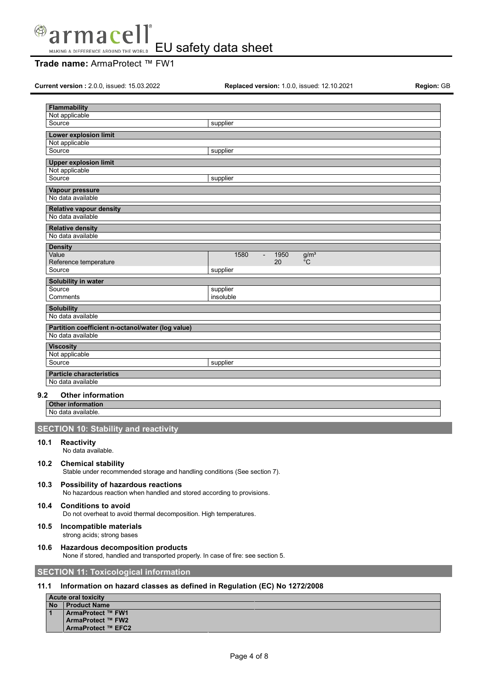

# **Trade name:** ArmaProtect ™ FW1

**Current version :** 2.0.0, issued: 15.03.2022 **Replaced version:** 1.0.0, issued: 12.10.2021 **Region:** GB

**1 ArmaProtect ™ FW1 ArmaProtect ™ FW2 ArmaProtect ™ EFC2**

| <b>Flammability</b>                                                    |                                                                                   |
|------------------------------------------------------------------------|-----------------------------------------------------------------------------------|
| Not applicable                                                         |                                                                                   |
| Source                                                                 | supplier                                                                          |
| <b>Lower explosion limit</b>                                           |                                                                                   |
| Not applicable                                                         |                                                                                   |
| Source                                                                 | supplier                                                                          |
| <b>Upper explosion limit</b>                                           |                                                                                   |
| Not applicable<br>Source                                               |                                                                                   |
|                                                                        | supplier                                                                          |
| Vapour pressure                                                        |                                                                                   |
| No data available                                                      |                                                                                   |
| <b>Relative vapour density</b><br>No data available                    |                                                                                   |
| <b>Relative density</b>                                                |                                                                                   |
| No data available                                                      |                                                                                   |
| <b>Density</b>                                                         |                                                                                   |
| Value                                                                  | 1950<br>1580<br>g/m <sup>3</sup><br>$\blacksquare$                                |
| Reference temperature<br>Source                                        | 20<br>$^{\circ}$ C<br>supplier                                                    |
|                                                                        |                                                                                   |
| Solubility in water<br>Source                                          |                                                                                   |
| Comments                                                               | supplier<br>insoluble                                                             |
|                                                                        |                                                                                   |
| <b>Solubility</b><br>No data available                                 |                                                                                   |
|                                                                        |                                                                                   |
| Partition coefficient n-octanol/water (log value)<br>No data available |                                                                                   |
|                                                                        |                                                                                   |
| <b>Viscosity</b><br>Not applicable                                     |                                                                                   |
| Source                                                                 | supplier                                                                          |
| <b>Particle characteristics</b>                                        |                                                                                   |
| No data available                                                      |                                                                                   |
|                                                                        |                                                                                   |
| 9.2<br><b>Other information</b>                                        |                                                                                   |
| <b>Other information</b><br>No data available.                         |                                                                                   |
|                                                                        |                                                                                   |
| <b>SECTION 10: Stability and reactivity</b>                            |                                                                                   |
| 10.1<br>Reactivity<br>No data available.                               |                                                                                   |
|                                                                        |                                                                                   |
| 10.2<br><b>Chemical stability</b>                                      | Stable under recommended storage and handling conditions (See section 7).         |
| Possibility of hazardous reactions<br>10.3                             | No hazardous reaction when handled and stored according to provisions.            |
| <b>Conditions to avoid</b><br>10.4                                     | Do not overheat to avoid thermal decomposition. High temperatures.                |
| 10.5<br>Incompatible materials<br>strong acids; strong bases           |                                                                                   |
| 10.6<br>Hazardous decomposition products                               | None if stored, handled and transported properly. In case of fire: see section 5. |
| <b>SECTION 11: Toxicological information</b>                           |                                                                                   |
| 11.1                                                                   | Information on hazard classes as defined in Regulation (EC) No 1272/2008          |
| <b>Acute oral toxicity</b>                                             |                                                                                   |
| <b>Product Name</b><br><b>No</b>                                       |                                                                                   |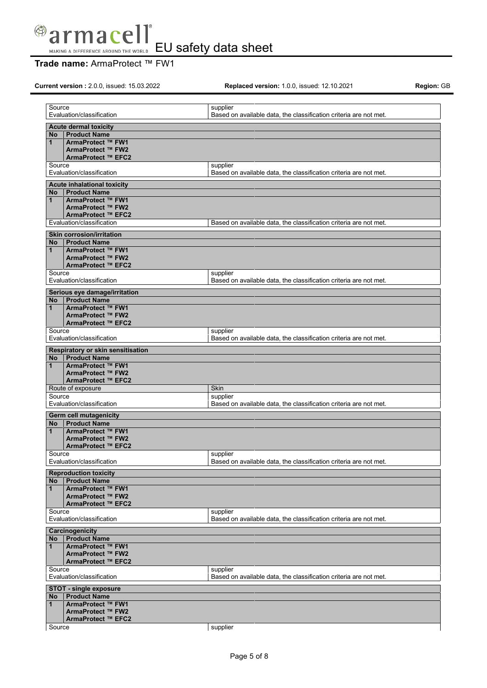

# **Trade name:** ArmaProtect ™ FW1

**Current version :** 2.0.0, issued: 15.03.2022 **Replaced version:** 1.0.0, issued: 12.10.2021 **Region:** GB

| Source                                                     | supplier                                                                      |
|------------------------------------------------------------|-------------------------------------------------------------------------------|
| Evaluation/classification                                  | Based on available data, the classification criteria are not met.             |
| <b>Acute dermal toxicity</b>                               |                                                                               |
| <b>Product Name</b><br>No                                  |                                                                               |
| ArmaProtect ™ FW1<br>$\mathbf 1$                           |                                                                               |
| ArmaProtect ™ FW2<br>ArmaProtect ™ EFC2                    |                                                                               |
| Source                                                     | supplier                                                                      |
| Evaluation/classification                                  | Based on available data, the classification criteria are not met.             |
|                                                            |                                                                               |
| Acute inhalational toxicity<br><b>Product Name</b><br>No   |                                                                               |
| ArmaProtect ™ FW1<br>$\mathbf{1}$                          |                                                                               |
| ArmaProtect ™ FW2                                          |                                                                               |
| ArmaProtect ™ EFC2                                         |                                                                               |
| Evaluation/classification                                  | Based on available data, the classification criteria are not met.             |
| <b>Skin corrosion/irritation</b>                           |                                                                               |
| <b>Product Name</b><br>No                                  |                                                                               |
| ArmaProtect ™ FW1<br>$\mathbf 1$                           |                                                                               |
| ArmaProtect ™ FW2                                          |                                                                               |
| ArmaProtect ™ EFC2<br>Source                               |                                                                               |
| Evaluation/classification                                  | supplier<br>Based on available data, the classification criteria are not met. |
|                                                            |                                                                               |
| Serious eye damage/irritation<br><b>Product Name</b><br>No |                                                                               |
| ArmaProtect ™ FW1<br>$\mathbf{1}$                          |                                                                               |
| ArmaProtect ™ FW2                                          |                                                                               |
| ArmaProtect ™ EFC2                                         |                                                                               |
| Source                                                     | supplier                                                                      |
| Evaluation/classification                                  | Based on available data, the classification criteria are not met.             |
| Respiratory or skin sensitisation                          |                                                                               |
| <b>Product Name</b><br>No.                                 |                                                                               |
| ArmaProtect ™ FW1<br>$\mathbf{1}$<br>ArmaProtect ™ FW2     |                                                                               |
| ArmaProtect ™ EFC2                                         |                                                                               |
| Route of exposure                                          | Skin                                                                          |
| Source                                                     | supplier                                                                      |
| Evaluation/classification                                  | Based on available data, the classification criteria are not met.             |
| <b>Germ cell mutagenicity</b>                              |                                                                               |
| <b>Product Name</b><br>No                                  |                                                                               |
| ArmaProtect ™ FW1<br>$\mathbf{1}$                          |                                                                               |
| ArmaProtect ™ FW2<br>ArmaProtect ™ EFC2                    |                                                                               |
| Source                                                     | supplier                                                                      |
| Evaluation/classification                                  | Based on available data, the classification criteria are not met.             |
| <b>Reproduction toxicity</b>                               |                                                                               |
| <b>Product Name</b><br>No                                  |                                                                               |
| ArmaProtect ™ FW1<br>1                                     |                                                                               |
| ArmaProtect ™ FW2                                          |                                                                               |
| ArmaProtect ™ EFC2                                         |                                                                               |
| Source<br>Evaluation/classification                        | supplier<br>Based on available data, the classification criteria are not met. |
|                                                            |                                                                               |
| Carcinogenicity<br><b>Product Name</b>                     |                                                                               |
| No<br>ArmaProtect ™ FW1<br>$\mathbf{1}$                    |                                                                               |
| ArmaProtect ™ FW2                                          |                                                                               |
| ArmaProtect ™ EFC2                                         |                                                                               |
| Source                                                     | supplier                                                                      |
| Evaluation/classification                                  | Based on available data, the classification criteria are not met.             |
| <b>STOT - single exposure</b>                              |                                                                               |
| <b>Product Name</b><br>No                                  |                                                                               |
| ArmaProtect ™ FW1<br>1                                     |                                                                               |
| ArmaProtect ™ FW2<br>ArmaProtect ™ EFC2                    |                                                                               |
| Source                                                     | supplier                                                                      |
|                                                            |                                                                               |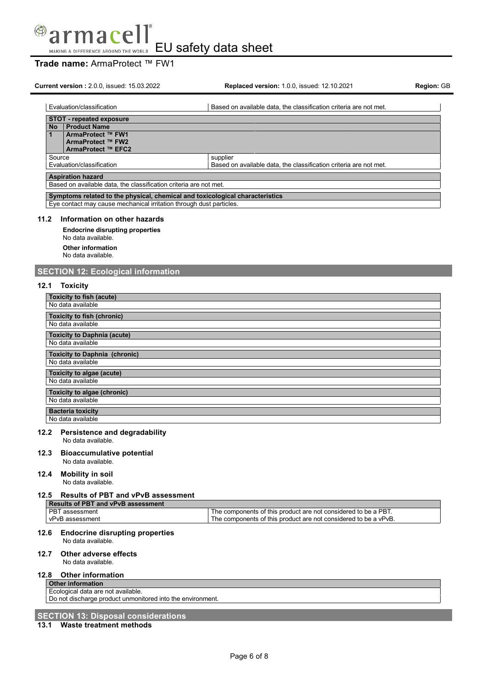

# **Trade name:** ArmaProtect ™ FW1

**Current version :** 2.0.0, issued: 15.03.2022 **Replaced version:** 1.0.0, issued: 12.10.2021 **Region:** GB

| Evaluation/classification                                                                     | Based on available data, the classification criteria are not met. |
|-----------------------------------------------------------------------------------------------|-------------------------------------------------------------------|
| <b>STOT - repeated exposure</b>                                                               |                                                                   |
| <b>Product Name</b><br><b>No</b>                                                              |                                                                   |
| ArmaProtect ™ FW1                                                                             |                                                                   |
| ArmaProtect ™ FW2                                                                             |                                                                   |
| ArmaProtect ™ EFC2                                                                            |                                                                   |
| Source                                                                                        | supplier                                                          |
| Evaluation/classification                                                                     | Based on available data, the classification criteria are not met. |
| <b>Aspiration hazard</b><br>Based on available data, the classification criteria are not met. |                                                                   |
| Symptoms related to the physical, chemical and toxicological characteristics                  |                                                                   |

Eye contact may cause mechanical irritation through dust particles.

## **11.2 Information on other hazards**

**Endocrine disrupting properties** No data available. **Other information** No data available.

# **SECTION 12: Ecological information**

## **12.1 Toxicity**

| <b>Toxicity to fish (acute)</b>                        |
|--------------------------------------------------------|
| No data available                                      |
| <b>Toxicity to fish (chronic)</b><br>No data available |
|                                                        |
| <b>Toxicity to Daphnia (acute)</b>                     |
| No data available                                      |
| <b>Toxicity to Daphnia (chronic)</b>                   |
| No data available                                      |
| Toxicity to algae (acute)                              |
| No data available                                      |
| Toxicity to algae (chronic)                            |
| No data available                                      |
| <b>Bacteria toxicity</b>                               |
| No data available                                      |

# **12.2 Persistence and degradability**

No data available.

**12.3 Bioaccumulative potential**

No data available.

# **12.4 Mobility in soil**

No data available.

## **12.5 Results of PBT and vPvB assessment**

| <b>Results of PBT and vPvB assessment</b> |                                                                 |
|-------------------------------------------|-----------------------------------------------------------------|
| l PBT assessment                          | The components of this product are not considered to be a PBT.  |
| vPvB assessment                           | The components of this product are not considered to be a vPvB. |

### **12.6 Endocrine disrupting properties** No data available.

### **12.7 Other adverse effects**

No data available.

## **12.8 Other information**

**Other information** Ecological data are not available. Do not discharge product unmonitored into the environment.

# **SECTION 13: Disposal considerations**

# **13.1 Waste treatment methods**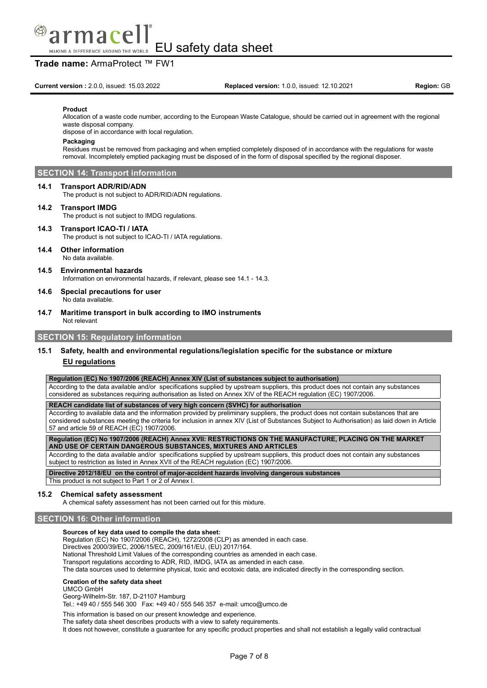

# **Trade name:** ArmaProtect ™ FW1

#### **Product**

Allocation of a waste code number, according to the European Waste Catalogue, should be carried out in agreement with the regional waste disposal company.

dispose of in accordance with local regulation.

#### **Packaging**

Residues must be removed from packaging and when emptied completely disposed of in accordance with the regulations for waste removal. Incompletely emptied packaging must be disposed of in the form of disposal specified by the regional disposer.

# **SECTION 14: Transport information**

#### **14.1 Transport ADR/RID/ADN**

The product is not subject to ADR/RID/ADN regulations.

### **14.2 Transport IMDG**

The product is not subject to IMDG regulations.

# **14.3 Transport ICAO-TI / IATA**

The product is not subject to ICAO-TI / IATA regulations.

## **14.4 Other information**

- No data available.
- **14.5 Environmental hazards** Information on environmental hazards, if relevant, please see 14.1 - 14.3.
- **14.6 Special precautions for user** No data available.
- **14.7 Maritime transport in bulk according to IMO instruments** Not relevant

## **SECTION 15: Regulatory information**

# **15.1 Safety, health and environmental regulations/legislation specific for the substance or mixture EU regulations**

**Regulation (EC) No 1907/2006 (REACH) Annex XIV (List of substances subject to authorisation)**

According to the data available and/or specifications supplied by upstream suppliers, this product does not contain any substances considered as substances requiring authorisation as listed on Annex XIV of the REACH regulation (EC) 1907/2006.

**REACH candidate list of substances of very high concern (SVHC) for authorisation**

According to available data and the information provided by preliminary suppliers, the product does not contain substances that are considered substances meeting the criteria for inclusion in annex XIV (List of Substances Subject to Authorisation) as laid down in Article 57 and article 59 of REACH (EC) 1907/2006.

**Regulation (EC) No 1907/2006 (REACH) Annex XVII: RESTRICTIONS ON THE MANUFACTURE, PLACING ON THE MARKET AND USE OF CERTAIN DANGEROUS SUBSTANCES, MIXTURES AND ARTICLES**

According to the data available and/or specifications supplied by upstream suppliers, this product does not contain any substances subject to restriction as listed in Annex XVII of the REACH regulation (EC) 1907/2006.

**Directive 2012/18/EU on the control of major-accident hazards involving dangerous substances**

This product is not subject to Part 1 or 2 of Annex I.

### **15.2 Chemical safety assessment**

A chemical safety assessment has not been carried out for this mixture.

## **SECTION 16: Other information**

### **Sources of key data used to compile the data sheet:**

Regulation (EC) No 1907/2006 (REACH), 1272/2008 (CLP) as amended in each case.

Directives 2000/39/EC, 2006/15/EC, 2009/161/EU, (EU) 2017/164.

National Threshold Limit Values of the corresponding countries as amended in each case.

Transport regulations according to ADR, RID, IMDG, IATA as amended in each case.

The data sources used to determine physical, toxic and ecotoxic data, are indicated directly in the corresponding section.

#### **Creation of the safety data sheet**

#### UMCO GmbH

Georg-Wilhelm-Str. 187, D-21107 Hamburg

Tel.: +49 40 / 555 546 300 Fax: +49 40 / 555 546 357 e-mail: umco@umco.de

This information is based on our present knowledge and experience.

The safety data sheet describes products with a view to safety requirements.

It does not however, constitute a guarantee for any specific product properties and shall not establish a legally valid contractual